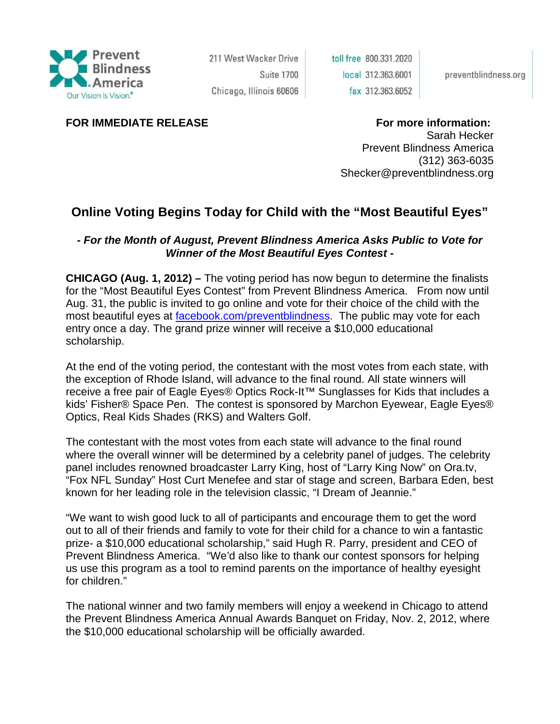

211 West Wacker Drive **Suite 1700** Chicago, Illinois 60606 toll free 800.331.2020 local 312.363.6001 fax 312.363.6052

preventblindness.org

## **FOR IMMEDIATE RELEASE FOR THE SEXT RELEASE FOR INFORMATION:**

Sarah Hecker

Prevent Blindness America (312) 363-6035 Shecker@preventblindness.org

## **Online Voting Begins Today for Child with the "Most Beautiful Eyes"**

## *- For the Month of August, Prevent Blindness America Asks Public to Vote for Winner of the Most Beautiful Eyes Contest -*

**CHICAGO (Aug. 1, 2012) –** The voting period has now begun to determine the finalists for the "Most Beautiful Eyes Contest" from Prevent Blindness America. From now until Aug. 31, the public is invited to go online and vote for their choice of the child with the most beautiful eyes at facebook.com/preventblindness. The public may vote for each entry once a day. The grand prize winner will receive a \$10,000 educational scholarship.

At the end of the voting period, the contestant with the most votes from each state, with the exception of Rhode Island, will advance to the final round. All state winners will receive a free pair of Eagle Eyes® Optics Rock-It™ Sunglasses for Kids that includes a kids' Fisher® Space Pen. The contest is sponsored by Marchon Eyewear, Eagle Eyes® Optics, Real Kids Shades (RKS) and Walters Golf.

The contestant with the most votes from each state will advance to the final round where the overall winner will be determined by a celebrity panel of judges. The celebrity panel includes renowned broadcaster Larry King, host of "Larry King Now" on Ora.tv, "Fox NFL Sunday" Host Curt Menefee and star of stage and screen, Barbara Eden, best known for her leading role in the television classic, "I Dream of Jeannie."

"We want to wish good luck to all of participants and encourage them to get the word out to all of their friends and family to vote for their child for a chance to win a fantastic prize- a \$10,000 educational scholarship," said Hugh R. Parry, president and CEO of Prevent Blindness America. "We'd also like to thank our contest sponsors for helping us use this program as a tool to remind parents on the importance of healthy eyesight for children."

The national winner and two family members will enjoy a weekend in Chicago to attend the Prevent Blindness America Annual Awards Banquet on Friday, Nov. 2, 2012, where the \$10,000 educational scholarship will be officially awarded.